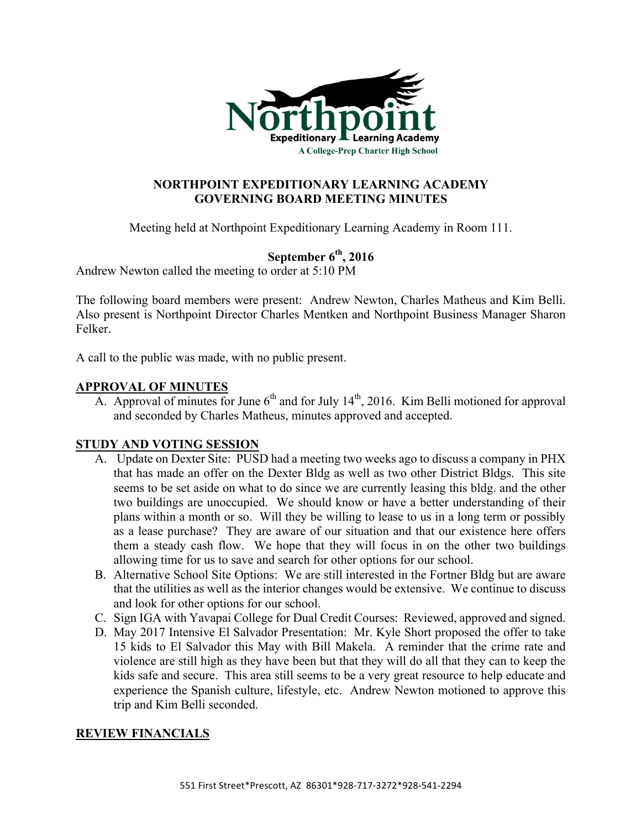

## **NORTHPOINT EXPEDITIONARY LEARNING ACADEMY GOVERNING BOARD MEETING MINUTES**

Meeting held at Northpoint Expeditionary Learning Academy in Room 111.

# **September 6th, 2016**

Andrew Newton called the meeting to order at 5:10 PM

The following board members were present: Andrew Newton, Charles Matheus and Kim Belli. Also present is Northpoint Director Charles Mentken and Northpoint Business Manager Sharon Felker.

A call to the public was made, with no public present.

#### **APPROVAL OF MINUTES**

A. Approval of minutes for June  $6<sup>th</sup>$  and for July 14<sup>th</sup>, 2016. Kim Belli motioned for approval and seconded by Charles Matheus, minutes approved and accepted.

## **STUDY AND VOTING SESSION**

- A. Update on Dexter Site: PUSD had a meeting two weeks ago to discuss a company in PHX that has made an offer on the Dexter Bldg as well as two other District Bldgs. This site seems to be set aside on what to do since we are currently leasing this bldg. and the other two buildings are unoccupied. We should know or have a better understanding of their plans within a month or so. Will they be willing to lease to us in a long term or possibly as a lease purchase? They are aware of our situation and that our existence here offers them a steady cash flow. We hope that they will focus in on the other two buildings allowing time for us to save and search for other options for our school.
- B. Alternative School Site Options: We are still interested in the Fortner Bldg but are aware that the utilities as well as the interior changes would be extensive. We continue to discuss and look for other options for our school.
- C. Sign IGA with Yavapai College for Dual Credit Courses: Reviewed, approved and signed.
- D. May 2017 Intensive El Salvador Presentation: Mr. Kyle Short proposed the offer to take 15 kids to El Salvador this May with Bill Makela. A reminder that the crime rate and violence are still high as they have been but that they will do all that they can to keep the kids safe and secure. This area still seems to be a very great resource to help educate and experience the Spanish culture, lifestyle, etc. Andrew Newton motioned to approve this trip and Kim Belli seconded.

## **REVIEW FINANCIALS**